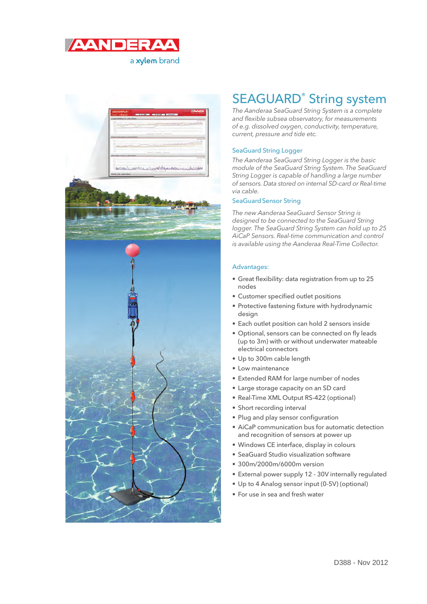



### SEAGUARD® String system

The Aanderaa SeaGuard String System is a complete and flexible subsea observatory, for measurements of e.g. dissolved oxygen, conductivity, temperature, current, pressure and tide etc.

#### SeaGuard String Logger

The Aanderaa SeaGuard String Logger is the basic module of the SeaGuard String System. The SeaGuard String Logger is capable of handling a large number of sensors. Data stored on internal SD-card or Real-time via cable.

#### SeaGuard Sensor String

The new Aanderaa SeaGuard Sensor String is designed to be connected to the SeaGuard String logger. The SeaGuard String System can hold up to 25 AiCaP Sensors. Real-time communication and control is available using the Aanderaa Real-Time Collector.

#### Advantages:

- Great flexibility: data registration from up to 25 nodes
- Customer specified outlet positions
- Protective fastening fixture with hydrodynamic design
- Each outlet position can hold 2 sensors inside
- Optional, sensors can be connected on fly leads (up to 3m) with or without underwater mateable electrical connectors
- Up to 300m cable length
- Low maintenance
- Extended RAM for large number of nodes
- Large storage capacity on an SD card
- Real-Time XML Output RS-422 (optional)
- Short recording interval
- Plug and play sensor configuration
- AiCaP communication bus for automatic detection and recognition of sensors at power up
- Windows CE interface, display in colours
- SeaGuard Studio visualization software
- 300m/2000m/6000m version
- External power supply 12 30V internally regulated
- Up to 4 Analog sensor input (0-5V) (optional)
- For use in sea and fresh water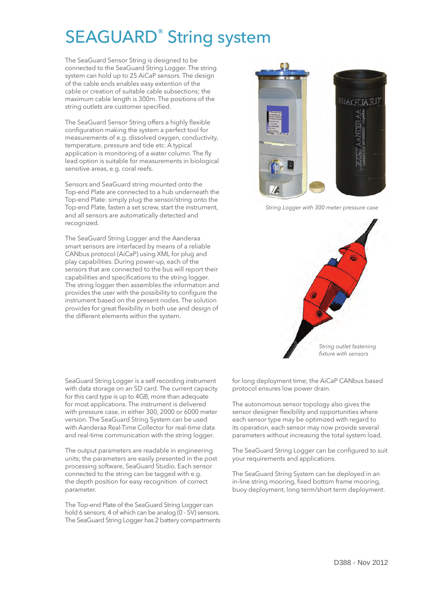# SEAGUARD® String system

The SeaGuard Sensor String is designed to be connected to the SeaGuard String Logger. The string system can hold up to 25 AiCaP sensors. The design of the cable ends enables easy extention of the cable or creation of suitable cable subsections; the maximum cable length is 300m. The positions of the string outlets are customer specified.

The SeaGuard Sensor String offers a highly flexible configuration making the system a perfect tool for measurements of e.g. dissolved oxygen, conductivity, temperature, pressure and tide etc. A typical application is monitoring of a water column. The fly lead option is suitable for measurements in biological sensitive areas, e.g. coral reefs.

Sensors and SeaGuard string mounted onto the Top-end Plate are connected to a hub underneath the Top-end Plate: simply plug the sensor/string onto the Top-end Plate, fasten a set screw, start the instrument, and all sensors are automatically detected and recognized.

The SeaGuard String Logger and the Aanderaa smart sensors are interfaced by means of a reliable CANbus protocol (AiCaP) using XML for plug and play capabilities. During power-up, each of the sensors that are connected to the bus will report their capabilities and specifications to the string logger. The string logger then assembles the information and provides the user with the possibility to configure the instrument based on the present nodes. The solution provides for great flexibility in both use and design of the different elements within the system.

**EAGUARD** 

String Logger with 300 meter pressure case



SeaGuard String Logger is a self recording instrument with data storage on an SD card. The current capacity for this card type is up to 4GB, more than adequate for most applications. The instrument is delivered with pressure case, in either 300, 2000 or 6000 meter version. The SeaGuard String System can be used with Aanderaa Real-Time Collector for real-time data and real-time communication with the string logger.

The output parameters are readable in engineering units; the parameters are easily presented in the post processing software, SeaGuard Studio. Each sensor connected to the string can be tagged with e.g. the depth position for easy recognition of correct parameter.

The Top-end Plate of the SeaGuard String Logger can hold 6 sensors; 4 of which can be analog (0 - 5V) sensors. The SeaGuard String Logger has 2 battery compartments for long deployment time; the AiCaP CANbus based protocol ensures low power drain.

The autonomous sensor topology also gives the sensor designer flexibility and opportunities where each sensor type may be optimized with regard to its operation, each sensor may now provide several parameters without increasing the total system load.

The SeaGuard String Logger can be configured to suit your requirements and applications.

The SeaGuard String System can be deployed in an in-line string mooring, fixed bottom frame mooring, buoy deployment, long term/short term deployment.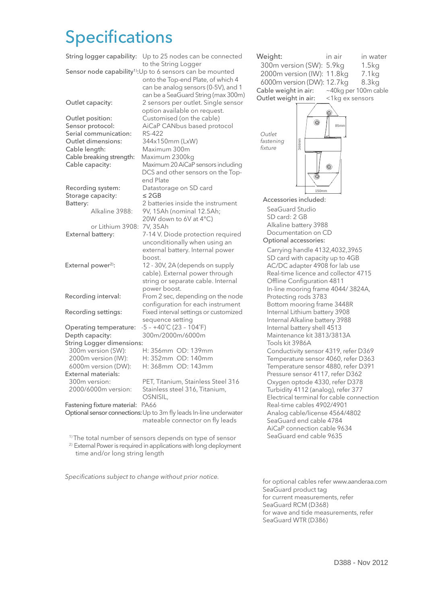## **Specifications**

| String logger capability:                                             | Up to 25 nodes can be connected<br>to the String Logger                |
|-----------------------------------------------------------------------|------------------------------------------------------------------------|
| Sensor node capability <sup>1)</sup> : Up to 6 sensors can be mounted |                                                                        |
|                                                                       | onto the Top-end Plate, of which 4                                     |
|                                                                       | can be analog sensors (0-5V), and 1                                    |
|                                                                       | can be a SeaGuard String (max 300m)                                    |
| Outlet capacity:                                                      | 2 sensors per outlet. Single sensor                                    |
|                                                                       | option available on request.                                           |
| Outlet position:                                                      | Customised (on the cable)                                              |
| Sensor protocol:                                                      | AiCaP CANbus based protocol                                            |
| Serial communication:<br>Outlet dimensions:                           | <b>RS-422</b>                                                          |
| Cable length:                                                         | 344x150mm (LxW)<br>Maximum 300m                                        |
| Cable breaking strength:                                              | Maximum 2300kg                                                         |
| Cable capacity:                                                       | Maximum 20 AiCaP sensors including                                     |
|                                                                       | DCS and other sensors on the Top-                                      |
|                                                                       | end Plate                                                              |
| Recording system:                                                     | Datastorage on SD card                                                 |
| Storage capacity:                                                     | $\leq$ 2GB                                                             |
| Battery:                                                              | 2 batteries inside the instrument                                      |
| Alkaline 3988:                                                        | 9V, 15Ah (nominal 12.5Ah;                                              |
|                                                                       | 20W down to 6V at 4°C)                                                 |
| or Lithium 3908:                                                      | 7V, 35Ah                                                               |
| External battery:                                                     | 7-14 V. Diode protection required                                      |
|                                                                       | unconditionally when using an                                          |
|                                                                       | external battery. Internal power                                       |
|                                                                       | boost.                                                                 |
| External power <sup>2)</sup> :                                        | 12 - 30V, 2A (depends on supply                                        |
|                                                                       | cable). External power through                                         |
|                                                                       | string or separate cable. Internal                                     |
|                                                                       | power boost.                                                           |
| Recording interval:                                                   | From 2 sec, depending on the node<br>configuration for each instrument |
| Recording settings:                                                   | Fixed interval settings or customized                                  |
|                                                                       | sequence setting                                                       |
| Operating temperature:                                                | $-5 - +40^{\circ}C(23 - 104^{\circ}F)$                                 |
| Depth capacity:                                                       | 300m/2000m/6000m                                                       |
| <b>String Logger dimensions:</b>                                      |                                                                        |
| 300m version (SW):                                                    | H: 356mm OD: 139mm                                                     |
| 2000m version (IW):                                                   | H: 352mm OD: 140mm                                                     |
| 6000m version (DW):                                                   | H: 368mm OD: 143mm                                                     |
| <b>External materials:</b>                                            |                                                                        |
| 300m version:                                                         | PET, Titanium, Stainless Steel 316                                     |
| 2000/6000m version:                                                   | Stainless steel 316, Titanium,                                         |
|                                                                       | OSNISIL,                                                               |
| Fastening fixture material:                                           | <b>PA66</b>                                                            |
| Optional sensor connections: Up to 3m fly leads In-line underwater    |                                                                        |
|                                                                       | mateable connector on fly leads                                        |

<sup>1)</sup> The total number of sensors depends on type of sensor

<sup>2)</sup> External Power is required in applications with long deployment time and/or long string length

Specifications subject to change without prior notice.



for optional cables refer www.aanderaa.com SeaGuard product tag for current measurements, refer SeaGuard RCM (D368) for wave and tide measurements, refer SeaGuard WTR (D386)